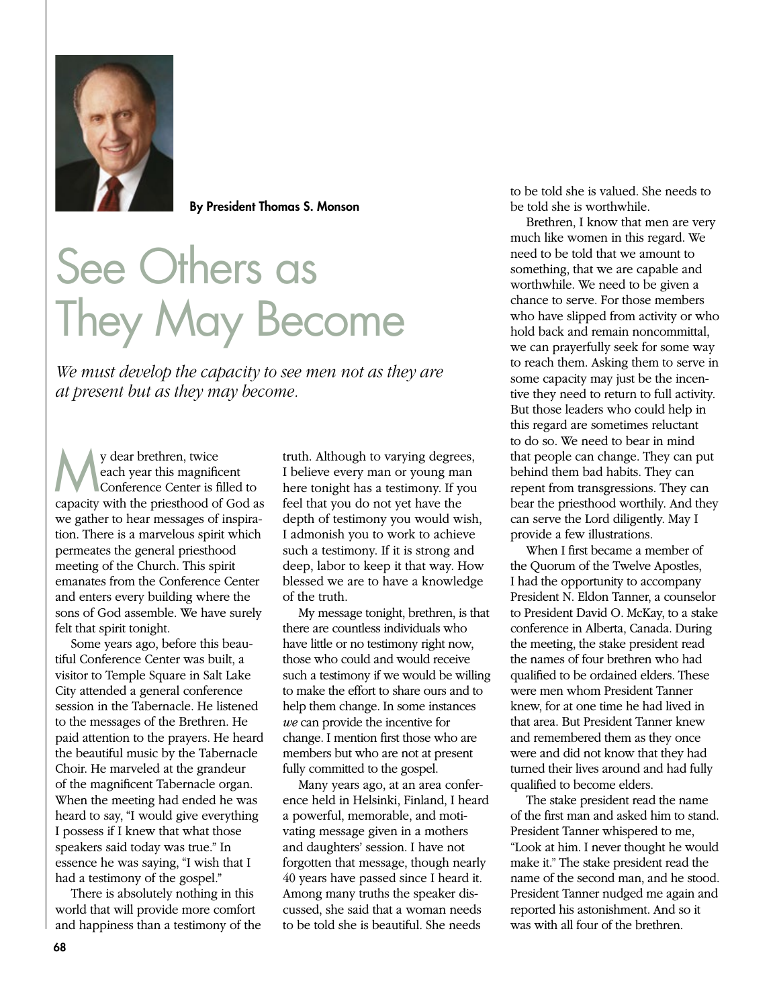

By President Thomas S. Monson

## See Others as They May Become

*We must develop the capacity to see men not as they are at present but as they may become.*

y dear brethren, twice<br>each year this magnific<br>Conference Center is fi each year this magnificent Conference Center is filled to capacity with the priesthood of God as we gather to hear messages of inspiration. There is a marvelous spirit which permeates the general priesthood meeting of the Church. This spirit emanates from the Conference Center and enters every building where the sons of God assemble. We have surely felt that spirit tonight.

Some years ago, before this beautiful Conference Center was built, a visitor to Temple Square in Salt Lake City attended a general conference session in the Tabernacle. He listened to the messages of the Brethren. He paid attention to the prayers. He heard the beautiful music by the Tabernacle Choir. He marveled at the grandeur of the magnificent Tabernacle organ. When the meeting had ended he was heard to say, "I would give everything I possess if I knew that what those speakers said today was true." In essence he was saying, "I wish that I had a testimony of the gospel."

There is absolutely nothing in this world that will provide more comfort and happiness than a testimony of the truth. Although to varying degrees, I believe every man or young man here tonight has a testimony. If you feel that you do not yet have the depth of testimony you would wish, I admonish you to work to achieve such a testimony. If it is strong and deep, labor to keep it that way. How blessed we are to have a knowledge of the truth.

My message tonight, brethren, is that there are countless individuals who have little or no testimony right now, those who could and would receive such a testimony if we would be willing to make the effort to share ours and to help them change. In some instances *we* can provide the incentive for change. I mention first those who are members but who are not at present fully committed to the gospel.

Many years ago, at an area conference held in Helsinki, Finland, I heard a powerful, memorable, and motivating message given in a mothers and daughters' session. I have not forgotten that message, though nearly 40 years have passed since I heard it. Among many truths the speaker discussed, she said that a woman needs to be told she is beautiful. She needs

to be told she is valued. She needs to be told she is worthwhile.

Brethren, I know that men are very much like women in this regard. We need to be told that we amount to something, that we are capable and worthwhile. We need to be given a chance to serve. For those members who have slipped from activity or who hold back and remain noncommittal, we can prayerfully seek for some way to reach them. Asking them to serve in some capacity may just be the incentive they need to return to full activity. But those leaders who could help in this regard are sometimes reluctant to do so. We need to bear in mind that people can change. They can put behind them bad habits. They can repent from transgressions. They can bear the priesthood worthily. And they can serve the Lord diligently. May I provide a few illustrations.

When I first became a member of the Quorum of the Twelve Apostles, I had the opportunity to accompany President N. Eldon Tanner, a counselor to President David O. McKay, to a stake conference in Alberta, Canada. During the meeting, the stake president read the names of four brethren who had qualified to be ordained elders. These were men whom President Tanner knew, for at one time he had lived in that area. But President Tanner knew and remembered them as they once were and did not know that they had turned their lives around and had fully qualified to become elders.

The stake president read the name of the first man and asked him to stand. President Tanner whispered to me, "Look at him. I never thought he would make it." The stake president read the name of the second man, and he stood. President Tanner nudged me again and reported his astonishment. And so it was with all four of the brethren.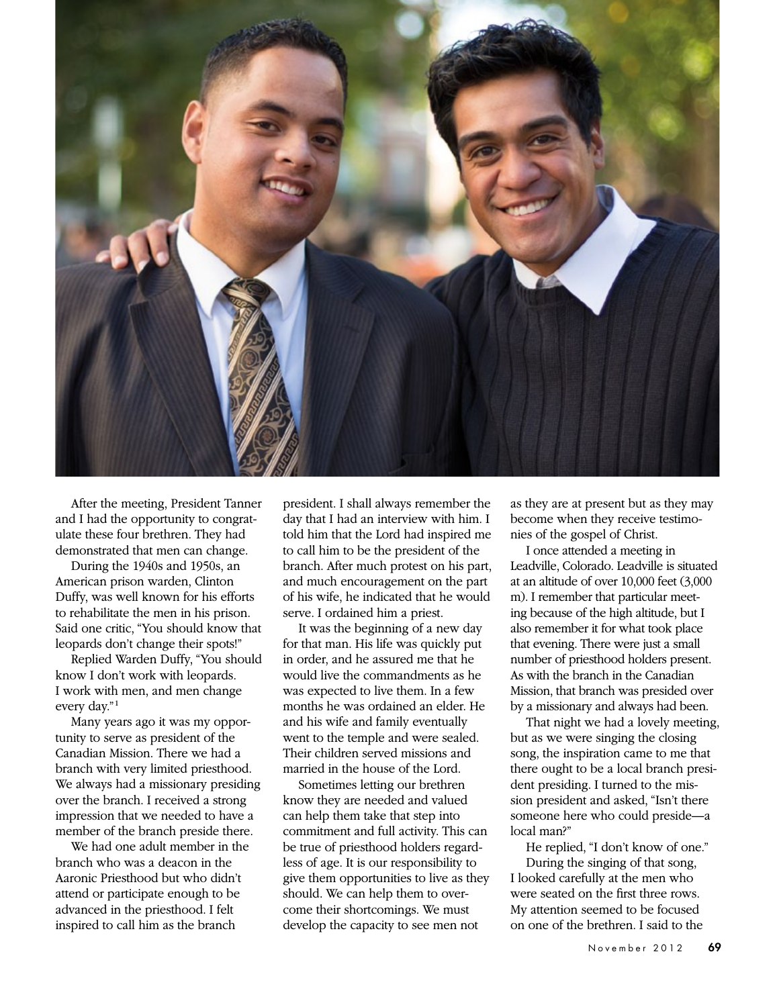

After the meeting, President Tanner and I had the opportunity to congratulate these four brethren. They had demonstrated that men can change.

During the 1940s and 1950s, an American prison warden, Clinton Duffy, was well known for his efforts to rehabilitate the men in his prison. Said one critic, "You should know that leopards don't change their spots!"

Replied Warden Duffy, "You should know I don't work with leopards. I work with men, and men change every day."<sup>1</sup>

Many years ago it was my opportunity to serve as president of the Canadian Mission. There we had a branch with very limited priesthood. We always had a missionary presiding over the branch. I received a strong impression that we needed to have a member of the branch preside there.

We had one adult member in the branch who was a deacon in the Aaronic Priesthood but who didn't attend or participate enough to be advanced in the priesthood. I felt inspired to call him as the branch

president. I shall always remember the day that I had an interview with him. I told him that the Lord had inspired me to call him to be the president of the branch. After much protest on his part, and much encouragement on the part of his wife, he indicated that he would serve. I ordained him a priest.

It was the beginning of a new day for that man. His life was quickly put in order, and he assured me that he would live the commandments as he was expected to live them. In a few months he was ordained an elder. He and his wife and family eventually went to the temple and were sealed. Their children served missions and married in the house of the Lord.

Sometimes letting our brethren know they are needed and valued can help them take that step into commitment and full activity. This can be true of priesthood holders regardless of age. It is our responsibility to give them opportunities to live as they should. We can help them to overcome their shortcomings. We must develop the capacity to see men not

as they are at present but as they may become when they receive testimonies of the gospel of Christ.

I once attended a meeting in Leadville, Colorado. Leadville is situated at an altitude of over 10,000 feet (3,000 m). I remember that particular meeting because of the high altitude, but I also remember it for what took place that evening. There were just a small number of priesthood holders present. As with the branch in the Canadian Mission, that branch was presided over by a missionary and always had been.

That night we had a lovely meeting, but as we were singing the closing song, the inspiration came to me that there ought to be a local branch president presiding. I turned to the mission president and asked, "Isn't there someone here who could preside—a local man?"

He replied, "I don't know of one."

During the singing of that song, I looked carefully at the men who were seated on the first three rows. My attention seemed to be focused on one of the brethren. I said to the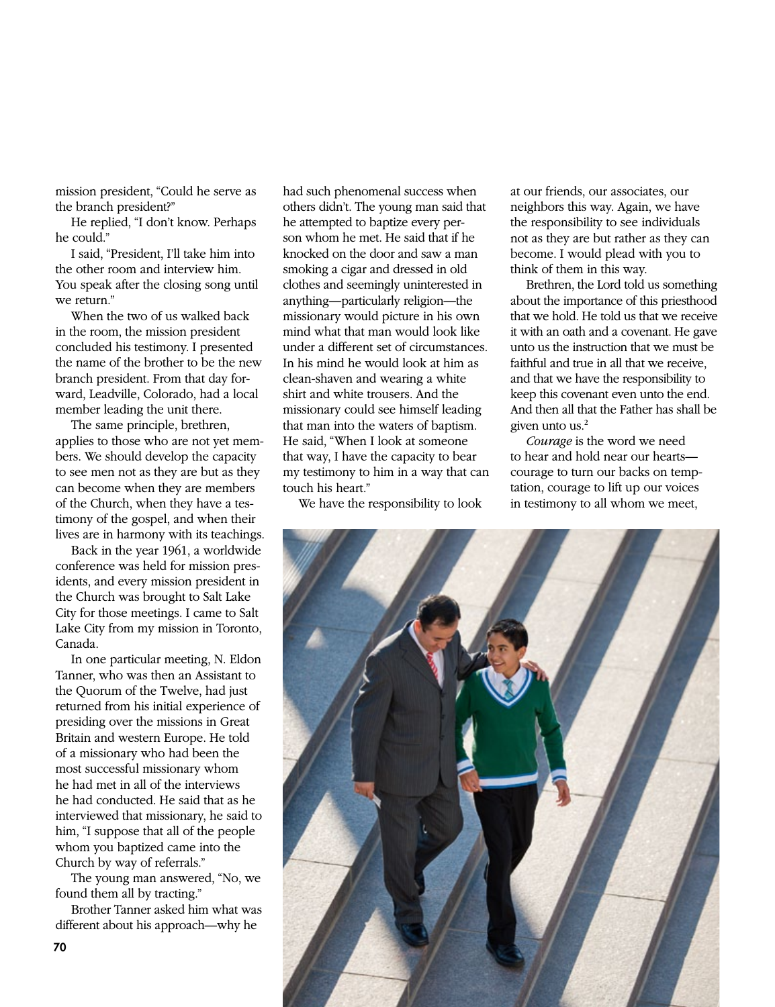mission president, "Could he serve as the branch president?"

He replied, "I don't know. Perhaps he could."

I said, "President, I'll take him into the other room and interview him. You speak after the closing song until we return."

When the two of us walked back in the room, the mission president concluded his testimony. I presented the name of the brother to be the new branch president. From that day forward, Leadville, Colorado, had a local member leading the unit there.

The same principle, brethren, applies to those who are not yet members. We should develop the capacity to see men not as they are but as they can become when they are members of the Church, when they have a testimony of the gospel, and when their lives are in harmony with its teachings.

Back in the year 1961, a worldwide conference was held for mission presidents, and every mission president in the Church was brought to Salt Lake City for those meetings. I came to Salt Lake City from my mission in Toronto, Canada.

In one particular meeting, N. Eldon Tanner, who was then an Assistant to the Quorum of the Twelve, had just returned from his initial experience of presiding over the missions in Great Britain and western Europe. He told of a missionary who had been the most successful missionary whom he had met in all of the interviews he had conducted. He said that as he interviewed that missionary, he said to him, "I suppose that all of the people whom you baptized came into the Church by way of referrals."

The young man answered, "No, we found them all by tracting."

Brother Tanner asked him what was different about his approach—why he

had such phenomenal success when others didn't. The young man said that he attempted to baptize every person whom he met. He said that if he knocked on the door and saw a man smoking a cigar and dressed in old clothes and seemingly uninterested in anything—particularly religion—the missionary would picture in his own mind what that man would look like under a different set of circumstances. In his mind he would look at him as clean-shaven and wearing a white shirt and white trousers. And the missionary could see himself leading that man into the waters of baptism. He said, "When I look at someone that way, I have the capacity to bear my testimony to him in a way that can touch his heart."

We have the responsibility to look

at our friends, our associates, our neighbors this way. Again, we have the responsibility to see individuals not as they are but rather as they can become. I would plead with you to think of them in this way.

Brethren, the Lord told us something about the importance of this priesthood that we hold. He told us that we receive it with an oath and a covenant. He gave unto us the instruction that we must be faithful and true in all that we receive, and that we have the responsibility to keep this covenant even unto the end. And then all that the Father has shall be given unto  $us^2$ 

*Courage* is the word we need to hear and hold near our hearts courage to turn our backs on temptation, courage to lift up our voices in testimony to all whom we meet,